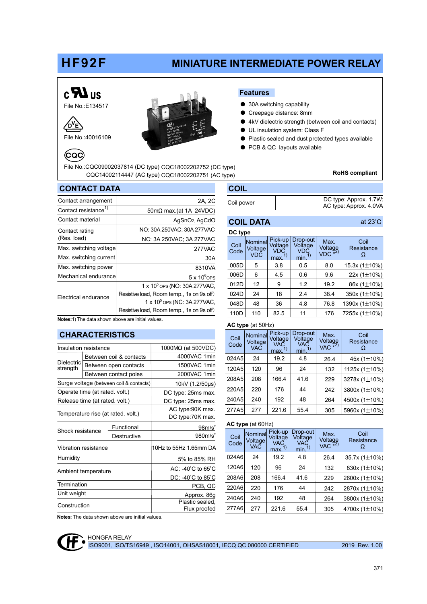## HF92F

## MINIATURE INTERMEDIATE POWER RELAY

# $c$ **N**us

 $\sqrt{0}$ <sup>V</sup>F

 $CQ$ 

File No.:E134517

File No.:40016109



#### Features

- 30A switching capability
- Creepage distance: 8mm
- 4kV dielectric strength (between coil and contacts)
- UL insulation system: Class F
- Plastic sealed and dust protected types available
- PCB & QC layouts available

File No.:CQC09002037814 (DC type) CQC18002202752 (DC type) CQC14002114447 (AC type) CQC18002202751 (AC type) **ROHS compliant** 

### CONTACT DATA

| <b>COIL</b> |                                                  |
|-------------|--------------------------------------------------|
| Coil power  | DC type: Approx. 1.7W;<br>AC type: Approx. 4.0VA |

| Contact arrangement              | 2A, 2C                                    |
|----------------------------------|-------------------------------------------|
| Contact resistance <sup>1)</sup> | $50 \text{m}\Omega$ max.(at 1A 24VDC)     |
| Contact material                 | AgSnO <sub>2</sub> , AgCdO                |
| Contact rating                   | NO: 30A 250VAC; 30A 277VAC                |
| (Res. load)                      | NC: 3A 250VAC; 3A 277VAC                  |
| Max. switching voltage           | 277VAC                                    |
| Max. switching current           | 30A                                       |
| Max. switching power             | 8310VA                                    |
| Mechanical endurancel            | $5 \times 10^6$ OPS                       |
|                                  | 1 x 10 <sup>5</sup> OPS (NO: 30A 277VAC,  |
| Electrical endurance             | Resistive load, Room temp., 1s on 9s off) |
|                                  | 1 x 10 <sup>5</sup> ops (NC: 3A 277VAC,   |
|                                  | Resistive load, Room temp., 1s on 9s off) |

| Coil<br>Code | Nominal<br>Voltage<br><b>VDC</b> | Pick-up<br>Voltage<br>VDĆ<br>max. | Drop-out<br>Voltage<br>VDČ<br>min. | Max.<br>Voltage<br>VDC *2)<br>VDC. | Coil<br>Resistance |
|--------------|----------------------------------|-----------------------------------|------------------------------------|------------------------------------|--------------------|
| 005D         | 5                                | 3.8                               | 0.5                                | 8.0                                | 15.3x $(1\pm10\%)$ |
| 006D         | 6                                | 4.5                               | 0.6                                | 9.6                                | 22x (1±10%)        |
| 012D         | 12                               | 9                                 | 1.2                                | 19.2                               | 86x (1±10%)        |
| 024D         | 24                               | 18                                | 2.4                                | 38.4                               | 350x (1±10%)       |
| 048D         | 48                               | 36                                | 4.8                                | 76.8                               | 1390x (1±10%)      |
| 110D         | 110                              | 82.5                              | 11                                 | 176                                | 7255x (1±10%)      |

Notes:1) The data shown above are initial values.

#### CHARACTERISTICS

| Insulation resistance              |                                |                                         | $1000M\Omega$ (at 500VDC)            |  |  |
|------------------------------------|--------------------------------|-----------------------------------------|--------------------------------------|--|--|
|                                    |                                | Between coil & contacts                 | 4000VAC 1min                         |  |  |
| Dielectric<br>strength             |                                | Between open contacts                   | 1500VAC 1min                         |  |  |
|                                    |                                | Between contact poles                   | 2000VAC 1min                         |  |  |
|                                    |                                | Surge voltage (between coil & contacts) | 10kV (1.2/50µs)                      |  |  |
|                                    | Operate time (at rated. volt.) |                                         | DC type: 25ms max.                   |  |  |
|                                    | Release time (at rated. volt.) |                                         | DC type: 25ms max.                   |  |  |
| Temperature rise (at rated. volt.) |                                |                                         | AC type:90K max.<br>DC type:70K max. |  |  |
| Shock resistance                   |                                | Functional                              | 98m/s <sup>2</sup>                   |  |  |
|                                    |                                | Destructive                             | 980m/s <sup>2</sup>                  |  |  |
|                                    | Vibration resistance           |                                         | 10Hz to 55Hz 1.65mm DA               |  |  |
| Humidity                           |                                |                                         | 5% to 85% RH                         |  |  |
| Ambient temperature                |                                |                                         | $AC: -40^{\circ}C$ to $65^{\circ}C$  |  |  |
|                                    |                                |                                         | DC: -40 C to 85 C                    |  |  |
| Termination                        |                                |                                         | PCB, QC                              |  |  |
| Unit weight                        |                                |                                         | Approx. 86g                          |  |  |
| Construction                       |                                | Plastic sealed.<br>Flux proofed         |                                      |  |  |

| AC type (at 50Hz) |  |
|-------------------|--|
|                   |  |

DC type

COIL DATA

| Coil<br>Code | Nominal<br>Voltage<br><b>VAC</b> | Pick-up<br>Voltage<br>VAĆ<br>max. | Drop-out<br>Voltage<br><b>VAC</b><br>min. | Max.<br>Voltage<br>VAC *2)<br><b>VAC</b> | Coil<br>Resistance |
|--------------|----------------------------------|-----------------------------------|-------------------------------------------|------------------------------------------|--------------------|
| 024A5        | 24                               | 19.2                              | 4.8                                       | 26.4                                     | 45x (1±10%)        |
| 120A5        | 120                              | 96                                | 24                                        | 132                                      | 1125x (1±10%)      |
| 208A5        | 208                              | 166.4                             | 41.6                                      | 229                                      | 3278x (1±10%)      |
| 220A5        | 220                              | 176                               | 44                                        | 242                                      | 3800x (1±10%)      |
| 240A5        | 240                              | 192                               | 48                                        | 264                                      | 4500x (1±10%)      |
| 277A5        | 277                              | 221.6                             | 55.4                                      | 305                                      | 5960x (1±10%)      |

#### AC type (at 60Hz)

| Coil<br>Code | Nominal<br>Voltage<br><b>VAC</b> | Pick-up<br>Voltage<br>VAC<br>max. | Drop-out<br>Voltage<br>VAC<br>min. | Max.<br>Voltage<br>VAC *2)<br><b>VAC</b> | Coil<br>Resistance |
|--------------|----------------------------------|-----------------------------------|------------------------------------|------------------------------------------|--------------------|
| 024A6        | 24                               | 19.2                              | 4.8                                | 26.4                                     | 35.7x (1±10%)      |
| 120A6        | 120                              | 96                                | 24                                 | 132                                      | 830x (1±10%)       |
| 208A6        | 208                              | 166.4                             | 41.6                               | 229                                      | 2600x (1±10%)      |
| 220A6        | 220                              | 176                               | 44                                 | 242                                      | 2870x (1±10%)      |
| 240A6        | 240                              | 192                               | 48                                 | 264                                      | 3800x (1±10%)      |
| 277A6        | 277                              | 221.6                             | 55.4                               | 305                                      | 4700x (1±10%)      |

Notes: The data shown above are initial values.



at 23°C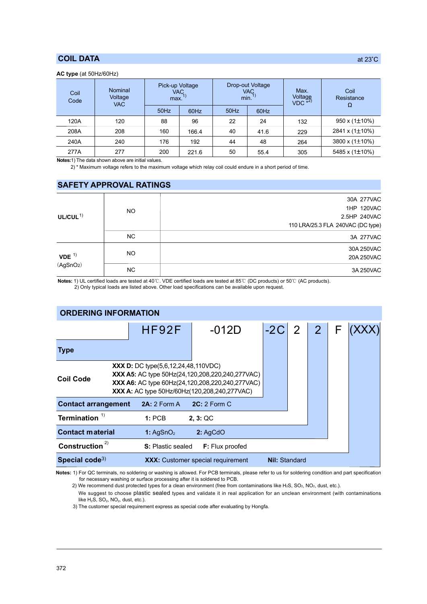#### COIL DATA

#### AC type (at 50Hz/60Hz)

| Coil<br>Code | Nominal<br>Voltage<br><b>VAC</b> | Pick-up Voltage<br>VAC<br>max. |       | min. | Drop-out Voltage<br>Max.<br><b>VAC</b><br>Voltage<br>VDC <sup>*2)</sup> |     | Coil<br>Resistance<br>Ω   |
|--------------|----------------------------------|--------------------------------|-------|------|-------------------------------------------------------------------------|-----|---------------------------|
|              |                                  | 50Hz                           | 60Hz  | 50Hz | 60Hz                                                                    |     |                           |
| 120A         | 120                              | 88                             | 96    | 22   | 24                                                                      | 132 | $950 \times (1 \pm 10\%)$ |
| 208A         | 208                              | 160                            | 166.4 | 40   | 41.6                                                                    | 229 | 2841 x (1±10%)            |
| 240A         | 240                              | 176                            | 192   | 44   | 48                                                                      | 264 | 3800 x $(1\pm10\%)$       |
| 277A         | 277                              | 200                            | 221.6 | 50   | 55.4                                                                    | 305 | 5485 x (1±10%)            |

Notes:1) The data shown above are initial values.

2) \* Maximum voltage refers to the maximum voltage which relay coil could endure in a short period of time.

#### SAFETY APPROVAL RATINGS

|                                              |           | 30A 277VAC                        |
|----------------------------------------------|-----------|-----------------------------------|
|                                              | <b>NO</b> | 1HP 120VAC                        |
| UL/CUL $1$ )                                 |           | 2.5HP 240VAC                      |
|                                              |           | 110 LRA/25.3 FLA 240VAC (DC type) |
|                                              | NC.       | 3A 277VAC                         |
|                                              |           | 30A 250VAC                        |
| $VDE$ <sup>1)</sup><br>(AgSnO <sub>2</sub> ) | <b>NO</b> | 20A 250VAC                        |
|                                              | <b>NC</b> | 3A 250VAC                         |

Notes: 1) UL certified loads are tested at 40℃. VDE certified loads are tested at 85℃ (DC products) or 50℃ (AC products).

2) Only typical loads are listed above. Other load specifications can be available upon request.

| <b>ORDERING INFORMATION</b>                            |                                                                                                                                                                                                                          |                        |                                          |                      |                |                |  |  |
|--------------------------------------------------------|--------------------------------------------------------------------------------------------------------------------------------------------------------------------------------------------------------------------------|------------------------|------------------------------------------|----------------------|----------------|----------------|--|--|
|                                                        | HF92F                                                                                                                                                                                                                    |                        | $-012D$                                  | $-2C$                | $\overline{2}$ | $\overline{2}$ |  |  |
| Type                                                   |                                                                                                                                                                                                                          |                        |                                          |                      |                |                |  |  |
| Coil Code                                              | <b>XXX D:</b> DC type $(5,6,12,24,48,110\text{VDC})$<br><b>XXX A5:</b> AC type 50Hz(24,120,208,220,240,277VAC)<br>XXX A6: AC type 60Hz(24,120,208,220,240,277VAC)<br><b>XXX A:</b> AC type 50Hz/60Hz(120,208,240,277VAC) |                        |                                          |                      |                |                |  |  |
| <b>Contact arrangement</b><br>2A: 2 Form A             |                                                                                                                                                                                                                          |                        | $2C: 2$ Form C                           |                      |                |                |  |  |
| Termination $1$                                        |                                                                                                                                                                                                                          | 1:PCB                  | 2, 3: QC                                 |                      |                |                |  |  |
| <b>Contact material</b><br>1: $AgSnO2$                 |                                                                                                                                                                                                                          |                        | 2:AgCdO                                  |                      |                |                |  |  |
| Construction <sup>2)</sup><br><b>S:</b> Plastic sealed |                                                                                                                                                                                                                          | <b>F:</b> Flux proofed |                                          |                      |                |                |  |  |
| Special code <sup>3)</sup>                             |                                                                                                                                                                                                                          |                        | <b>XXX:</b> Customer special requirement | <b>Nil: Standard</b> |                |                |  |  |

Notes: 1) For QC terminals, no soldering or washing is allowed. For PCB terminals, please refer to us for soldering condition and part specification for necessary washing or surface processing after it is soldered to PCB.

2) We recommend dust protected types for a clean environment (free from contaminations like H<sub>2</sub>S, SO<sub>2</sub>, NO<sub>2</sub>, dust, etc.).

We suggest to choose plastic sealed types and validate it in real application for an unclean environment (with contaminations like  $H_2S$ ,  $SO_2$ ,  $NO_2$ , dust, etc.).

3) The customer special requirement express as special code after evaluating by Hongfa.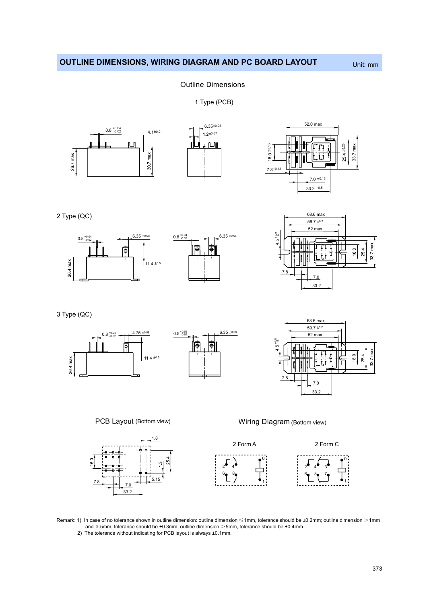## OUTLINE DIMENSIONS, WIRING DIAGRAM AND PC BOARD LAYOUT Unit: mm

#### Outline Dimensions

1 Type (PCB)



2 Type (QC)





3 Type (QC)







PCB Layout (Bottom view)



Wiring Diagram (Bottom view)



Remark: 1) In case of no tolerance shown in outline dimension: outline dimension ≤1mm, tolerance should be ±0.2mm; outline dimension >1mm and ≤5mm, tolerance should be ±0.3mm; outline dimension >5mm, tolerance should be ±0.4mm.

2) The tolerance without indicating for PCB layout is always ±0.1mm.